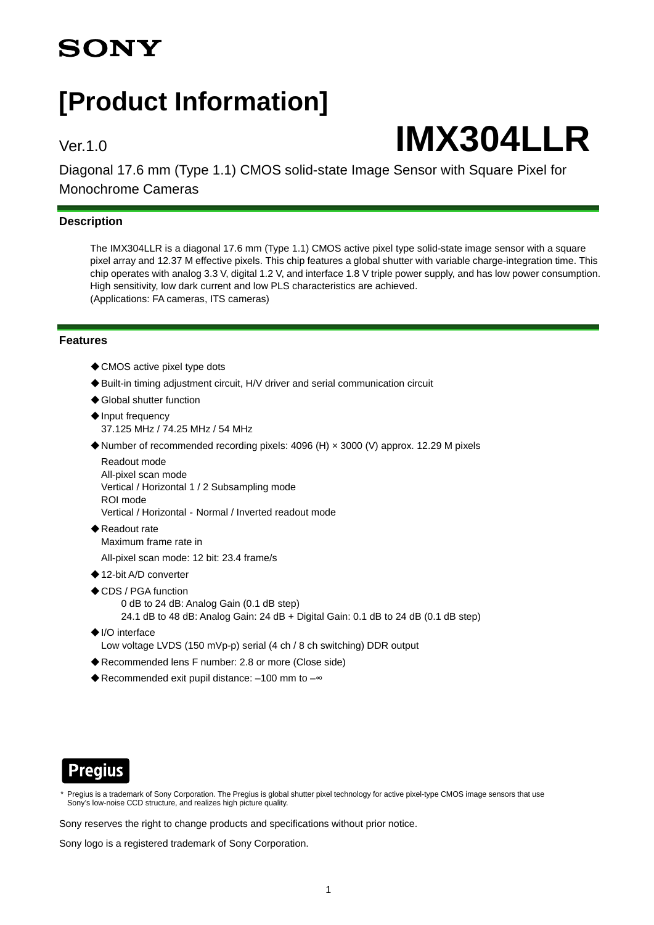## **SONY**

## **[Product Information]**

# Ver.1.0 **IMX304LLR**

Diagonal 17.6 mm (Type 1.1) CMOS solid-state Image Sensor with Square Pixel for Monochrome Cameras

#### **Description**

The IMX304LLR is a diagonal 17.6 mm (Type 1.1) CMOS active pixel type solid-state image sensor with a square pixel array and 12.37 M effective pixels. This chip features a global shutter with variable charge-integration time. This chip operates with analog 3.3 V, digital 1.2 V, and interface 1.8 V triple power supply, and has low power consumption. High sensitivity, low dark current and low PLS characteristics are achieved. (Applications: FA cameras, ITS cameras)

#### **Features**

- ◆ CMOS active pixel type dots
- ◆ Built-in timing adjustment circuit, H/V driver and serial communication circuit
- ◆ Global shutter function
- ◆Input frequency 37.125 MHz / 74.25 MHz / 54 MHz
- ◆Number of recommended recording pixels: 4096 (H) × 3000 (V) approx. 12.29 M pixels

Readout mode All-pixel scan mode Vertical / Horizontal 1 / 2 Subsampling mode ROI mode Vertical / Horizontal‐Normal / Inverted readout mode

- ◆Readout rate Maximum frame rate in
- All-pixel scan mode: 12 bit: 23.4 frame/s
- ◆12-bit A/D converter
- ◆CDS / PGA function
	- 0 dB to 24 dB: Analog Gain (0.1 dB step)
	- 24.1 dB to 48 dB: Analog Gain: 24 dB + Digital Gain: 0.1 dB to 24 dB (0.1 dB step)
- ◆I/O interface Low voltage LVDS (150 mVp-p) serial (4 ch / 8 ch switching) DDR output
- ◆Recommended lens F number: 2.8 or more (Close side)
- ◆ Recommended exit pupil distance: -100 mm to -~



Pregius is a trademark of Sony Corporation. The Pregius is global shutter pixel technology for active pixel-type CMOS image sensors that use Sony's low-noise CCD structure, and realizes high picture quality.

Sony reserves the right to change products and specifications without prior notice.

Sony logo is a registered trademark of Sony Corporation.